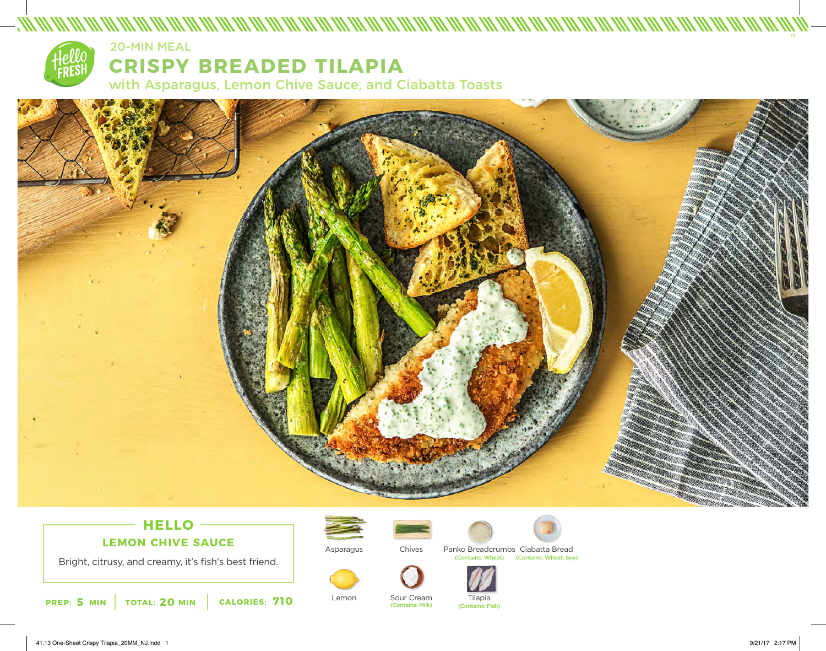

# **CRISPY BREADED TILAPIA** 20-MIN MEAL

with Asparagus, Lemon Chive Sauce, and Ciabatta Toasts



## **HELLO LEMON CHIVE SAUCE**

Bright, citrusy, and creamy, it's fish's best friend.





Lemon



(Contains: Milk)

Chives Panko Breadcrumbs Ciabatta Bread (Contains: Wheat) (Contains: Wheat, Soy)



Sour Cream Tilapia (Contains: Fish)